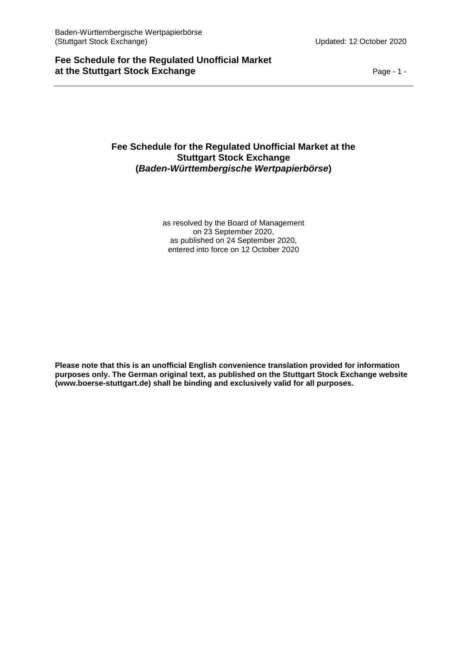# **Fee Schedule for the Regulated Unofficial Market at the Stuttgart Stock Exchange**  Page - 1 -

# **Fee Schedule for the Regulated Unofficial Market at the Stuttgart Stock Exchange (***Baden-Württembergische Wertpapierbörse***)**

as resolved by the Board of Management on 23 September 2020, as published on 24 September 2020, entered into force on 12 October 2020

**Please note that this is an unofficial English convenience translation provided for information purposes only. The German original text, as published on the Stuttgart Stock Exchange website (www.boerse-stuttgart.de) shall be binding and exclusively valid for all purposes.**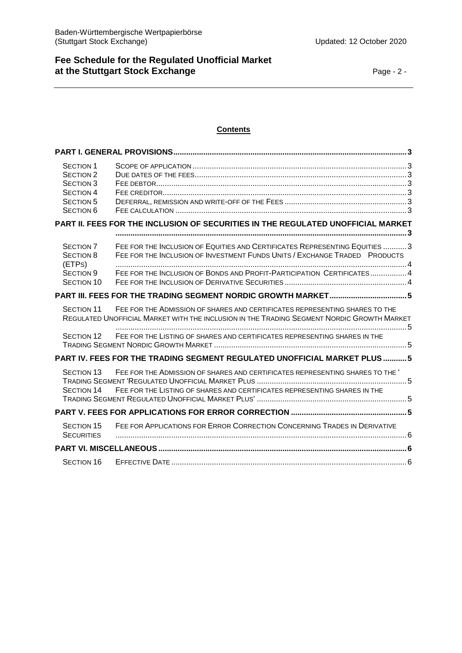#### **Contents**

| <b>SECTION 1</b><br><b>SECTION 2</b><br><b>SECTION 3</b><br><b>SECTION 4</b><br><b>SECTION 5</b><br><b>SECTION 6</b> |                                                                                                                                                                                                                                     |  |
|----------------------------------------------------------------------------------------------------------------------|-------------------------------------------------------------------------------------------------------------------------------------------------------------------------------------------------------------------------------------|--|
|                                                                                                                      | PART II. FEES FOR THE INCLUSION OF SECURITIES IN THE REGULATED UNOFFICIAL MARKET                                                                                                                                                    |  |
| <b>SECTION 7</b><br><b>SECTION 8</b><br>(ETPS)<br><b>SECTION 9</b><br><b>SECTION 10</b>                              | FEE FOR THE INCLUSION OF EQUITIES AND CERTIFICATES REPRESENTING EQUITIES  3<br>FEE FOR THE INCLUSION OF INVESTMENT FUNDS UNITS / EXCHANGE TRADED PRODUCTS<br>FEE FOR THE INCLUSION OF BONDS AND PROFIT-PARTICIPATION CERTIFICATES 4 |  |
|                                                                                                                      | PART III. FEES FOR THE TRADING SEGMENT NORDIC GROWTH MARKET 5                                                                                                                                                                       |  |
| <b>SECTION 11</b>                                                                                                    | FEE FOR THE ADMISSION OF SHARES AND CERTIFICATES REPRESENTING SHARES TO THE<br>REGULATED UNOFFICIAL MARKET WITH THE INCLUSION IN THE TRADING SEGMENT NORDIC GROWTH MARKET                                                           |  |
| SECTION 12                                                                                                           | FEE FOR THE LISTING OF SHARES AND CERTIFICATES REPRESENTING SHARES IN THE                                                                                                                                                           |  |
|                                                                                                                      | PART IV. FEES FOR THE TRADING SEGMENT REGULATED UNOFFICIAL MARKET PLUS5                                                                                                                                                             |  |
| <b>SECTION 13</b><br>SECTION 14                                                                                      | FEE FOR THE ADMISSION OF SHARES AND CERTIFICATES REPRESENTING SHARES TO THE<br>FEE FOR THE LISTING OF SHARES AND CERTIFICATES REPRESENTING SHARES IN THE                                                                            |  |
|                                                                                                                      |                                                                                                                                                                                                                                     |  |
| <b>SECTION 15</b><br><b>SECURITIES</b>                                                                               | FEE FOR APPLICATIONS FOR ERROR CORRECTION CONCERNING TRADES IN DERIVATIVE                                                                                                                                                           |  |
|                                                                                                                      |                                                                                                                                                                                                                                     |  |
| <b>SECTION 16</b>                                                                                                    |                                                                                                                                                                                                                                     |  |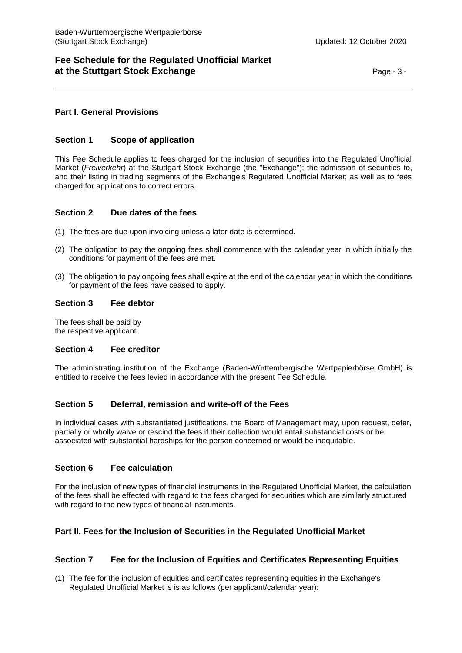# **Fee Schedule for the Regulated Unofficial Market at the Stuttgart Stock Exchange** Page - 3 -

# <span id="page-2-0"></span>**Part I. General Provisions**

# <span id="page-2-1"></span>**Section 1 Scope of application**

This Fee Schedule applies to fees charged for the inclusion of securities into the Regulated Unofficial Market (*Freiverkehr*) at the Stuttgart Stock Exchange (the "Exchange"); the admission of securities to, and their listing in trading segments of the Exchange's Regulated Unofficial Market; as well as to fees charged for applications to correct errors.

# <span id="page-2-2"></span>**Section 2 Due dates of the fees**

- (1) The fees are due upon invoicing unless a later date is determined.
- (2) The obligation to pay the ongoing fees shall commence with the calendar year in which initially the conditions for payment of the fees are met.
- (3) The obligation to pay ongoing fees shall expire at the end of the calendar year in which the conditions for payment of the fees have ceased to apply.

### <span id="page-2-3"></span>**Section 3 Fee debtor**

The fees shall be paid by the respective applicant.

### <span id="page-2-4"></span>**Section 4 Fee creditor**

The administrating institution of the Exchange (Baden-Württembergische Wertpapierbörse GmbH) is entitled to receive the fees levied in accordance with the present Fee Schedule.

# <span id="page-2-5"></span>**Section 5 Deferral, remission and write-off of the Fees**

In individual cases with substantiated justifications, the Board of Management may, upon request, defer, partially or wholly waive or rescind the fees if their collection would entail substancial costs or be associated with substantial hardships for the person concerned or would be inequitable.

### <span id="page-2-6"></span>**Section 6 Fee calculation**

For the inclusion of new types of financial instruments in the Regulated Unofficial Market, the calculation of the fees shall be effected with regard to the fees charged for securities which are similarly structured with regard to the new types of financial instruments.

### <span id="page-2-7"></span>**Part II. Fees for the Inclusion of Securities in the Regulated Unofficial Market**

### <span id="page-2-8"></span>**Section 7 Fee for the Inclusion of Equities and Certificates Representing Equities**

(1) The fee for the inclusion of equities and certificates representing equities in the Exchange's Regulated Unofficial Market is is as follows (per applicant/calendar year):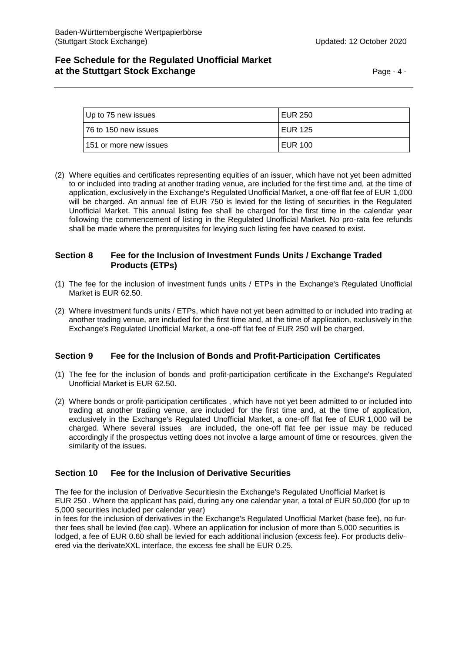# **Fee Schedule for the Regulated Unofficial Market at the Stuttgart Stock Exchange** Page - 4 -

| Up to 75 new issues     | <b>EUR 250</b> |
|-------------------------|----------------|
| 176 to 150 new issues   | <b>EUR 125</b> |
| 1151 or more new issues | <b>EUR 100</b> |

(2) Where equities and certificates representing equities of an issuer, which have not yet been admitted to or included into trading at another trading venue, are included for the first time and, at the time of application, exclusively in the Exchange's Regulated Unofficial Market, a one-off flat fee of EUR 1,000 will be charged. An annual fee of EUR 750 is levied for the listing of securities in the Regulated Unofficial Market. This annual listing fee shall be charged for the first time in the calendar year following the commencement of listing in the Regulated Unofficial Market. No pro-rata fee refunds shall be made where the prerequisites for levying such listing fee have ceased to exist.

# <span id="page-3-0"></span>**Section 8 Fee for the Inclusion of Investment Funds Units / Exchange Traded Products (ETPs)**

- (1) The fee for the inclusion of investment funds units / ETPs in the Exchange's Regulated Unofficial Market is EUR 62.50.
- (2) Where investment funds units / ETPs, which have not yet been admitted to or included into trading at another trading venue, are included for the first time and, at the time of application, exclusively in the Exchange's Regulated Unofficial Market, a one-off flat fee of EUR 250 will be charged.

# <span id="page-3-1"></span>**Section 9 Fee for the Inclusion of Bonds and Profit-Participation Certificates**

- (1) The fee for the inclusion of bonds and profit-participation certificate in the Exchange's Regulated Unofficial Market is EUR 62.50.
- (2) Where bonds or profit-participation certificates , which have not yet been admitted to or included into trading at another trading venue, are included for the first time and, at the time of application, exclusively in the Exchange's Regulated Unofficial Market, a one-off flat fee of EUR 1,000 will be charged. Where several issues are included, the one-off flat fee per issue may be reduced accordingly if the prospectus vetting does not involve a large amount of time or resources, given the similarity of the issues.

# <span id="page-3-2"></span>**Section 10 Fee for the Inclusion of Derivative Securities**

The fee for the inclusion of Derivative Securitiesin the Exchange's Regulated Unofficial Market is EUR 250 . Where the applicant has paid, during any one calendar year, a total of EUR 50,000 (for up to 5,000 securities included per calendar year)

in fees for the inclusion of derivatives in the Exchange's Regulated Unofficial Market (base fee), no further fees shall be levied (fee cap). Where an application for inclusion of more than 5,000 securities is lodged, a fee of EUR 0.60 shall be levied for each additional inclusion (excess fee). For products delivered via the derivateXXL interface, the excess fee shall be EUR 0.25.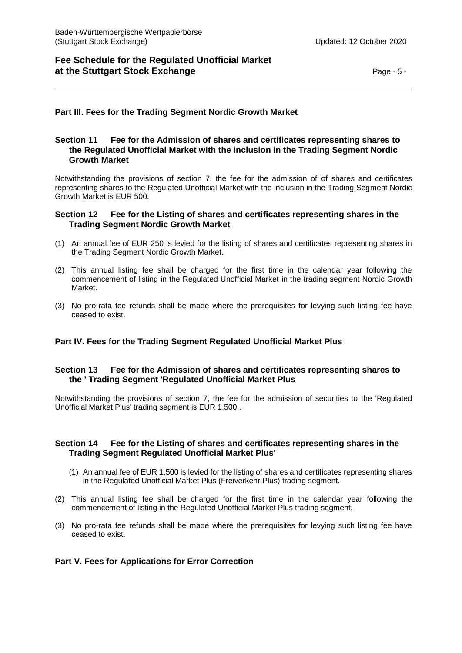# **Fee Schedule for the Regulated Unofficial Market at the Stuttgart Stock Exchange** Page - 5 -

# <span id="page-4-0"></span>**Part III. Fees for the Trading Segment Nordic Growth Market**

# <span id="page-4-1"></span>**Section 11 Fee for the Admission of shares and certificates representing shares to the Regulated Unofficial Market with the inclusion in the Trading Segment Nordic Growth Market**

Notwithstanding the provisions of section 7, the fee for the admission of of shares and certificates representing shares to the Regulated Unofficial Market with the inclusion in the Trading Segment Nordic Growth Market is EUR 500.

### <span id="page-4-2"></span>**Section 12 Fee for the Listing of shares and certificates representing shares in the Trading Segment Nordic Growth Market**

- (1) An annual fee of EUR 250 is levied for the listing of shares and certificates representing shares in the Trading Segment Nordic Growth Market.
- (2) This annual listing fee shall be charged for the first time in the calendar year following the commencement of listing in the Regulated Unofficial Market in the trading segment Nordic Growth Market.
- (3) No pro-rata fee refunds shall be made where the prerequisites for levying such listing fee have ceased to exist.

# <span id="page-4-3"></span>**Part IV. Fees for the Trading Segment Regulated Unofficial Market Plus**

### <span id="page-4-4"></span>**Section 13 Fee for the Admission of shares and certificates representing shares to the ' Trading Segment 'Regulated Unofficial Market Plus**

Notwithstanding the provisions of section 7, the fee for the admission of securities to the 'Regulated Unofficial Market Plus' trading segment is EUR 1,500 .

# <span id="page-4-5"></span>**Section 14 Fee for the Listing of shares and certificates representing shares in the Trading Segment Regulated Unofficial Market Plus'**

- (1) An annual fee of EUR 1,500 is levied for the listing of shares and certificates representing shares in the Regulated Unofficial Market Plus (Freiverkehr Plus) trading segment.
- (2) This annual listing fee shall be charged for the first time in the calendar year following the commencement of listing in the Regulated Unofficial Market Plus trading segment.
- (3) No pro-rata fee refunds shall be made where the prerequisites for levying such listing fee have ceased to exist.

### <span id="page-4-6"></span>**Part V. Fees for Applications for Error Correction**